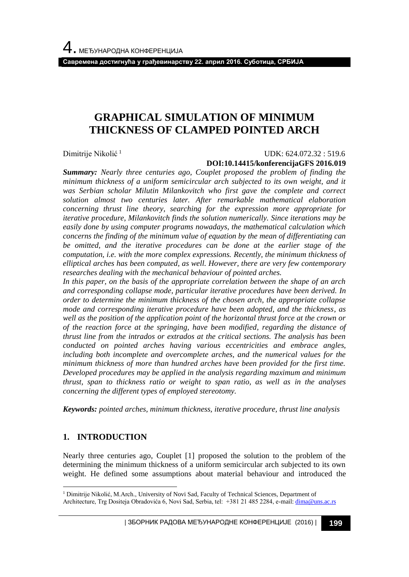**Савремена достигнућа у грађевинарству 22. април 2016. Суботица, СРБИЈА**

# **GRAPHICAL SIMULATION OF MINIMUM THICKNESS OF CLAMPED POINTED ARCH**

Dimitrije Nikolić <sup>1</sup>

#### UDK: 624.072.32 : 519.6 **DOI:10.14415/konferencijaGFS 2016.019**

*Summary: Nearly three centuries ago, Couplet proposed the problem of finding the minimum thickness of a uniform semicircular arch subjected to its own weight, and it was Serbian scholar Milutin Milankovitch who first gave the complete and correct solution almost two centuries later. After remarkable mathematical elaboration concerning thrust line theory, searching for the expression more appropriate for iterative procedure, Milankovitch finds the solution numerically. Since iterations may be easily done by using computer programs nowadays, the mathematical calculation which concerns the finding of the minimum value of equation by the mean of differentiating can be omitted, and the iterative procedures can be done at the earlier stage of the computation, i.e. with the more complex expressions. Recently, the minimum thickness of elliptical arches has been computed, as well. However, there are very few contemporary researches dealing with the mechanical behaviour of pointed arches.*

*In this paper, on the basis of the appropriate correlation between the shape of an arch and corresponding collapse mode, particular iterative procedures have been derived. In order to determine the minimum thickness of the chosen arch, the appropriate collapse mode and corresponding iterative procedure have been adopted, and the thickness, as well as the position of the application point of the horizontal thrust force at the crown or of the reaction force at the springing, have been modified, regarding the distance of thrust line from the intrados or extrados at the critical sections. The analysis has been conducted on pointed arches having various eccentricities and embrace angles, including both incomplete and overcomplete arches, and the numerical values for the minimum thickness of more than hundred arches have been provided for the first time. Developed procedures may be applied in the analysis regarding maximum and minimum thrust, span to thickness ratio or weight to span ratio, as well as in the analyses concerning the different types of employed stereotomy.*

*Keywords: pointed arches, minimum thickness, iterative procedure, thrust line analysis*

### **1. INTRODUCTION**

l

Nearly three centuries ago, Couplet [1] proposed the solution to the problem of the determining the minimum thickness of a uniform semicircular arch subjected to its own weight. He defined some assumptions about material behaviour and introduced the

| ЗБОРНИК РАДОВА МЕЂУНАРОДНЕ КОНФЕРЕНЦИЈЕ (2016) | **199**

<sup>1</sup> Dimitrije Nikolić, M.Arch., University of Novi Sad, Faculty of Technical Sciences, Department of Architecture, Trg Dositeja Obradovića 6, Novi Sad, Serbia, tel: +381 21 485 2284, e-mail[: dima@uns.ac.rs](mailto:dima@uns.ac.rs)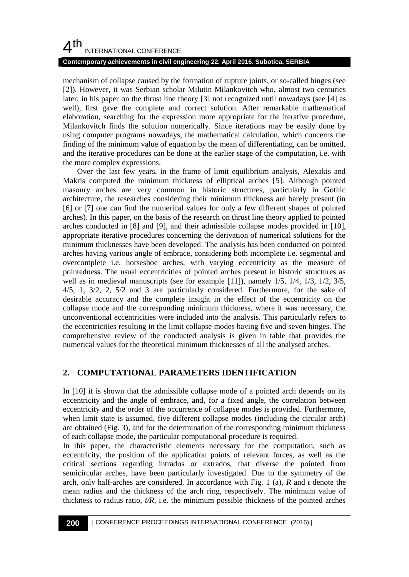#### **Contemporary achievements in civil engineering 22. April 2016. Subotica, SERBIA**

mechanism of collapse caused by the formation of rupture joints, or so-called hinges (see [2]). However, it was Serbian scholar Milutin Milankovitch who, almost two centuries later, in his paper on the thrust line theory [3] not recognized until nowadays (see [4] as well), first gave the complete and correct solution. After remarkable mathematical elaboration, searching for the expression more appropriate for the iterative procedure, Milankovitch finds the solution numerically. Since iterations may be easily done by using computer programs nowadays, the mathematical calculation, which concerns the finding of the minimum value of equation by the mean of differentiating, can be omitted, and the iterative procedures can be done at the earlier stage of the computation, i.e. with the more complex expressions.

Over the last few years, in the frame of limit equilibrium analysis, Alexakis and Makris computed the minimum thickness of elliptical arches [5]. Although pointed masonry arches are very common in historic structures, particularly in Gothic architecture, the researches considering their minimum thickness are barely present (in [6] or [7] one can find the numerical values for only a few different shapes of pointed arches). In this paper, on the basis of the research on thrust line theory applied to pointed arches conducted in [8] and [9], and their admissible collapse modes provided in [10], appropriate iterative procedures concerning the derivation of numerical solutions for the minimum thicknesses have been developed. The analysis has been conducted on pointed arches having various angle of embrace, considering both incomplete i.e. segmental and overcomplete i.e. horseshoe arches, with varying eccentricity as the measure of pointedness. The usual eccentricities of pointed arches present in historic structures as well as in medieval manuscripts (see for example  $[11]$ ), namely  $1/5$ ,  $1/4$ ,  $1/3$ ,  $1/2$ ,  $3/5$ , 4/5, 1, 3/2, 2, 5/2 and 3 are particularly considered. Furthermore, for the sake of desirable accuracy and the complete insight in the effect of the eccentricity on the collapse mode and the corresponding minimum thickness, where it was necessary, the unconventional eccentricities were included into the analysis. This particularly refers to the eccentricities resulting in the limit collapse modes having five and seven hinges. The comprehensive review of the conducted analysis is given in table that provides the numerical values for the theoretical minimum thicknesses of all the analysed arches.

### **2. COMPUTATIONAL PARAMETERS IDENTIFICATION**

In [10] it is shown that the admissible collapse mode of a pointed arch depends on its eccentricity and the angle of embrace, and, for a fixed angle, the correlation between eccentricity and the order of the occurrence of collapse modes is provided. Furthermore, when limit state is assumed, five different collapse modes (including the circular arch) are obtained (Fig. 3), and for the determination of the corresponding minimum thickness of each collapse mode, the particular computational procedure is required.

In this paper, the characteristic elements necessary for the computation, such as eccentricity, the position of the application points of relevant forces, as well as the critical sections regarding intrados or extrados, that diverse the pointed from semicircular arches, have been particularly investigated. Due to the symmetry of the arch, only half-arches are considered. In accordance with Fig. 1 (a), *R* and *t* denote the mean radius and the thickness of the arch ring, respectively. The minimum value of thickness to radius ratio,  $t/R$ , i.e. the minimum possible thickness of the pointed arches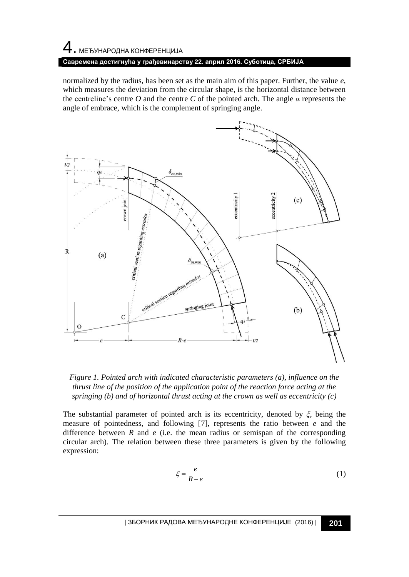## $\,4\,$ . МЕЂУНАРОДНА КОНФЕРЕНЦИЈА

#### **Савремена достигнућа у грађевинарству 22. април 2016. Суботица, СРБИЈА**

normalized by the radius, has been set as the main aim of this paper. Further, the value *e*, which measures the deviation from the circular shape, is the horizontal distance between the centreline's centre *O* and the centre *C* of the pointed arch. The angle *α* represents the angle of embrace, which is the complement of springing angle.



*Figure 1. Pointed arch with indicated characteristic parameters (a), influence on the thrust line of the position of the application point of the reaction force acting at the springing (b) and of horizontal thrust acting at the crown as well as eccentricity (c)* 

The substantial parameter of pointed arch is its eccentricity, denoted by *ξ*, being the measure of pointedness, and following [7], represents the ratio between *e* and the difference between  $R$  and  $e$  (i.e. the mean radius or semispan of the corresponding circular arch). The relation between these three parameters is given by the following expression:

$$
\xi = \frac{e}{R - e} \tag{1}
$$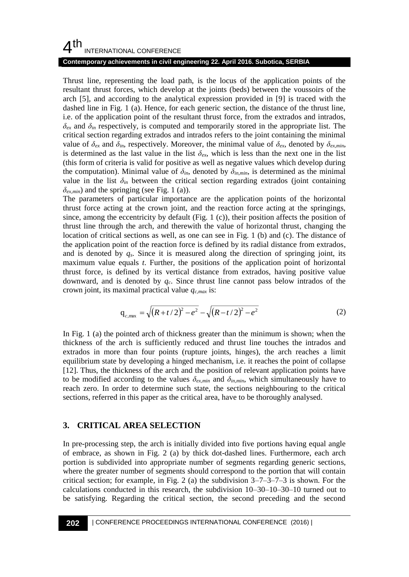#### **Contemporary achievements in civil engineering 22. April 2016. Subotica, SERBIA**

Thrust line, representing the load path, is the locus of the application points of the resultant thrust forces, which develop at the joints (beds) between the voussoirs of the arch [5], and according to the analytical expression provided in [9] is traced with the dashed line in Fig. 1 (a). Hence, for each generic section, the distance of the thrust line, i.e. of the application point of the resultant thrust force, from the extrados and intrados,  $\delta_{ex}$  and  $\delta_{in}$  respectively, is computed and temporarily stored in the appropriate list. The critical section regarding extrados and intrados refers to the joint containing the minimal value of  $\delta_{ex}$  and  $\delta_{in}$ , respectively. Moreover, the minimal value of  $\delta_{ex}$ , denoted by  $\delta_{ex,min}$ , is determined as the last value in the list  $\delta_{ex}$ , which is less than the next one in the list (this form of criteria is valid for positive as well as negative values which develop during the computation). Minimal value of  $\delta_{in}$ , denoted by  $\delta_{in,min}$ , is determined as the minimal value in the list  $\delta_{in}$  between the critical section regarding extrados (joint containing  $\delta$ <sub>*ex,min*</sub>) and the springing (see Fig. 1 (a)).

The parameters of particular importance are the application points of the horizontal thrust force acting at the crown joint, and the reaction force acting at the springings, since, among the eccentricity by default (Fig. 1  $(c)$ ), their position affects the position of thrust line through the arch, and therewith the value of horizontal thrust, changing the location of critical sections as well, as one can see in Fig. 1 (b) and (c). The distance of the application point of the reaction force is defined by its radial distance from extrados, and is denoted by *qs*. Since it is measured along the direction of springing joint, its maximum value equals *t*. Further, the positions of the application point of horizontal thrust force, is defined by its vertical distance from extrados, having positive value downward, and is denoted by *qc*. Since thrust line cannot pass below intrados of the crown joint, its maximal practical value *qc,max* is:

$$
q_{c,\max} = \sqrt{(R+t/2)^2 - e^2} - \sqrt{(R-t/2)^2 - e^2}
$$
 (2)

In Fig. 1 (a) the pointed arch of thickness greater than the minimum is shown; when the thickness of the arch is sufficiently reduced and thrust line touches the intrados and extrados in more than four points (rupture joints, hinges), the arch reaches a limit equilibrium state by developing a hinged mechanism, i.e. it reaches the point of collapse [12]. Thus, the thickness of the arch and the position of relevant application points have to be modified according to the values  $\delta_{ex,min}$  and  $\delta_{in,min}$ , which simultaneously have to reach zero. In order to determine such state, the sections neighbouring to the critical sections, referred in this paper as the critical area, have to be thoroughly analysed.

#### **3. CRITICAL AREA SELECTION**

In pre-processing step, the arch is initially divided into five portions having equal angle of embrace, as shown in Fig. 2 (a) by thick dot-dashed lines. Furthermore, each arch portion is subdivided into appropriate number of segments regarding generic sections, where the greater number of segments should correspond to the portion that will contain critical section; for example, in Fig. 2 (a) the subdivision  $3-7-3-7-3$  is shown. For the calculations conducted in this research, the subdivision 10–30–10–30–10 turned out to be satisfying. Regarding the critical section, the second preceding and the second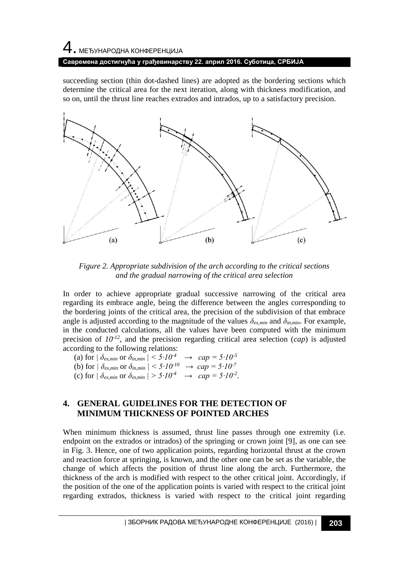# 4. МЕЂУНАРОДНА КОНФЕРЕНЦИЈА **Савремена достигнућа у грађевинарству 22. април 2016. Суботица, СРБИЈА**

succeeding section (thin dot-dashed lines) are adopted as the bordering sections which determine the critical area for the next iteration, along with thickness modification, and so on, until the thrust line reaches extrados and intrados, up to a satisfactory precision.



*Figure 2. Appropriate subdivision of the arch according to the critical sections and the gradual narrowing of the critical area selection*

In order to achieve appropriate gradual successive narrowing of the critical area regarding its embrace angle, being the difference between the angles corresponding to the bordering joints of the critical area, the precision of the subdivision of that embrace angle is adjusted according to the magnitude of the values  $\delta_{ex,min}$  and  $\delta_{in,min}$ . For example, in the conducted calculations, all the values have been computed with the minimum precision of *10-12*, and the precision regarding critical area selection (*cap*) is adjusted according to the following relations:

(a) for  $|\delta_{ex,min}$  or  $\delta_{in,min}| \leq 5 \cdot 10^{-4}$   $\rightarrow$   $cap = 5 \cdot 10^{-5}$ (b) for  $|\delta_{ex,min}$  or  $\delta_{in,min}| < 5 \cdot 10^{-10}$   $\rightarrow cap = 5 \cdot 10^{-7}$ (c) for  $|\delta_{ex,min}$  or  $\delta_{in,min}| > 5 \cdot 10^{-4}$   $\rightarrow$   $cap = 5 \cdot 10^{-2}$ .

### **4. GENERAL GUIDELINES FOR THE DETECTION OF MINIMUM THICKNESS OF POINTED ARCHES**

When minimum thickness is assumed, thrust line passes through one extremity (i.e. endpoint on the extrados or intrados) of the springing or crown joint [9], as one can see in Fig. 3. Hence, one of two application points, regarding horizontal thrust at the crown and reaction force at springing, is known, and the other one can be set as the variable, the change of which affects the position of thrust line along the arch. Furthermore, the thickness of the arch is modified with respect to the other critical joint. Accordingly, if the position of the one of the application points is varied with respect to the critical joint regarding extrados, thickness is varied with respect to the critical joint regarding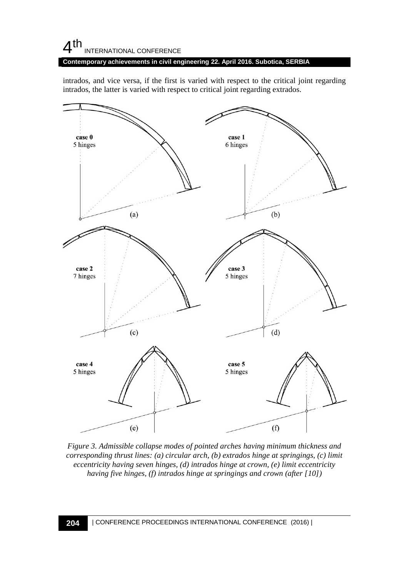**Contemporary achievements in civil engineering 22. April 2016. Subotica, SERBIA**

intrados, and vice versa, if the first is varied with respect to the critical joint regarding intrados, the latter is varied with respect to critical joint regarding extrados.



*Figure 3. Admissible collapse modes of pointed arches having minimum thickness and corresponding thrust lines: (a) circular arch, (b) extrados hinge at springings, (c) limit eccentricity having seven hinges, (d) intrados hinge at crown, (e) limit eccentricity having five hinges, (f) intrados hinge at springings and crown (after [10])*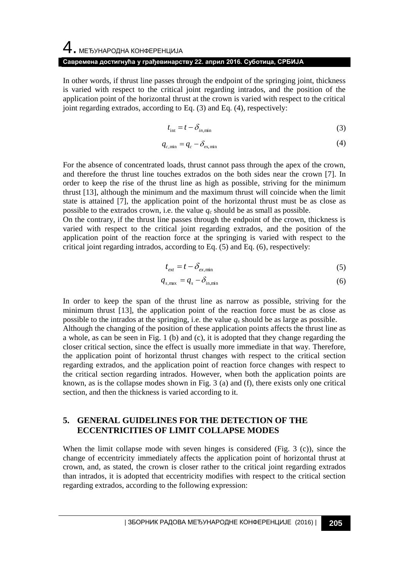# 4. МЕЂУНАРОДНА КОНФЕРЕНЦИЈА **Савремена достигнућа у грађевинарству 22. април 2016. Суботица, СРБИЈА**

In other words, if thrust line passes through the endpoint of the springing joint, thickness is varied with respect to the critical joint regarding intrados, and the position of the application point of the horizontal thrust at the crown is varied with respect to the critical joint regarding extrados, according to Eq. (3) and Eq. (4), respectively:

$$
t_{\text{int}} = t - \delta_{in,\text{min}} \tag{3}
$$

$$
q_{c,\min} = q_c - \delta_{\text{ex,min}} \tag{4}
$$

For the absence of concentrated loads, thrust cannot pass through the apex of the crown, and therefore the thrust line touches extrados on the both sides near the crown [7]. In order to keep the rise of the thrust line as high as possible, striving for the minimum thrust [13], although the minimum and the maximum thrust will coincide when the limit state is attained [7], the application point of the horizontal thrust must be as close as possible to the extrados crown, i.e. the value  $q_c$  should be as small as possible.

On the contrary, if the thrust line passes through the endpoint of the crown, thickness is varied with respect to the critical joint regarding extrados, and the position of the application point of the reaction force at the springing is varied with respect to the critical joint regarding intrados, according to Eq. (5) and Eq. (6), respectively:

$$
t_{ext} = t - \delta_{ex,\min} \tag{5}
$$

$$
q_{s,\max} = q_s - \delta_{\text{in,min}} \tag{6}
$$

In order to keep the span of the thrust line as narrow as possible, striving for the minimum thrust [13], the application point of the reaction force must be as close as possible to the intrados at the springing, i.e. the value  $q_s$  should be as large as possible. Although the changing of the position of these application points affects the thrust line as a whole, as can be seen in Fig. 1 (b) and (c), it is adopted that they change regarding the closer critical section, since the effect is usually more immediate in that way. Therefore, the application point of horizontal thrust changes with respect to the critical section regarding extrados, and the application point of reaction force changes with respect to the critical section regarding intrados. However, when both the application points are known, as is the collapse modes shown in Fig. 3 (a) and (f), there exists only one critical section, and then the thickness is varied according to it.

#### **5. GENERAL GUIDELINES FOR THE DETECTION OF THE ECCENTRICITIES OF LIMIT COLLAPSE MODES**

When the limit collapse mode with seven hinges is considered (Fig. 3 (c)), since the change of eccentricity immediately affects the application point of horizontal thrust at crown, and, as stated, the crown is closer rather to the critical joint regarding extrados than intrados, it is adopted that eccentricity modifies with respect to the critical section regarding extrados, according to the following expression: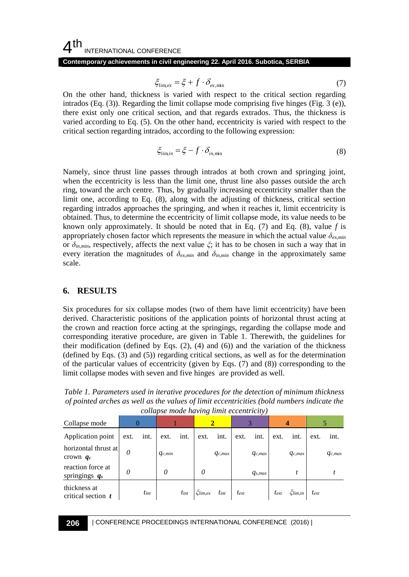**Contemporary achievements in civil engineering 22. April 2016. Subotica, SERBIA**

$$
\xi_{\text{lim,ex}} = \xi + f \cdot \delta_{\text{ex,min}} \tag{7}
$$

On the other hand, thickness is varied with respect to the critical section regarding intrados (Eq. (3)). Regarding the limit collapse mode comprising five hinges (Fig. 3 (e)), there exist only one critical section, and that regards extrados. Thus, the thickness is varied according to Eq. (5). On the other hand, eccentricity is varied with respect to the critical section regarding intrados, according to the following expression:

$$
\xi_{\lim,in} = \xi - f \cdot \delta_{in,min} \tag{8}
$$

Namely, since thrust line passes through intrados at both crown and springing joint, when the eccentricity is less than the limit one, thrust line also passes outside the arch ring, toward the arch centre. Thus, by gradually increasing eccentricity smaller than the limit one, according to Eq. (8), along with the adjusting of thickness, critical section regarding intrados approaches the springing, and when it reaches it, limit eccentricity is obtained. Thus, to determine the eccentricity of limit collapse mode, its value needs to be known only approximately. It should be noted that in Eq. (7) and Eq. (8), value *f* is appropriately chosen factor which represents the measure in which the actual value *δex,min* or  $\delta_{in,min}$ , respectively, affects the next value  $\zeta$ ; it has to be chosen in such a way that in every iteration the magnitudes of  $\delta_{ex,min}$  and  $\delta_{in,min}$  change in the approximately same scale.

### **6. RESULTS**

Six procedures for six collapse modes (two of them have limit eccentricity) have been derived. Characteristic positions of the application points of horizontal thrust acting at the crown and reaction force acting at the springings, regarding the collapse mode and corresponding iterative procedure, are given in Table 1. Therewith, the guidelines for their modification (defined by Eqs.  $(2)$ ,  $(4)$  and  $(6)$ ) and the variation of the thickness (defined by Eqs. (3) and (5)) regarding critical sections, as well as for the determination of the particular values of eccentricity (given by Eqs. (7) and (8)) corresponding to the limit collapse modes with seven and five hinges are provided as well.

*Table 1. Parameters used in iterative procedures for the detection of minimum thickness of pointed arches as well as the values of limit eccentricities (bold numbers indicate the collapse mode having limit eccentricity)*

| Collapse mode                         |          |           |             |           |                 |             | . .       |             |           |                 |           |             |
|---------------------------------------|----------|-----------|-------------|-----------|-----------------|-------------|-----------|-------------|-----------|-----------------|-----------|-------------|
| Application point                     | ext.     | int.      | ext.        | int.      | ext.            | int.        | ext.      | int.        | ext.      | int.            | ext.      | int.        |
| horizontal thrust at<br>crown $q_c$   | $\theta$ |           | $q_{c,min}$ |           |                 | $q_{c,max}$ |           | $q_{c,max}$ |           | $q_{c,max}$     |           | $q_{c,max}$ |
| reaction force at<br>springings $q_s$ | 0        |           | 0           |           | 0               |             |           | $q_{s,max}$ |           |                 |           |             |
| thickness at<br>critical section $t$  |          | $t_{int}$ |             | $t_{int}$ | $\zeta$ lim, ex | $t_{int}$   | $t_{ext}$ |             | $t_{ext}$ | $\zeta$ lim, in | $t_{ext}$ |             |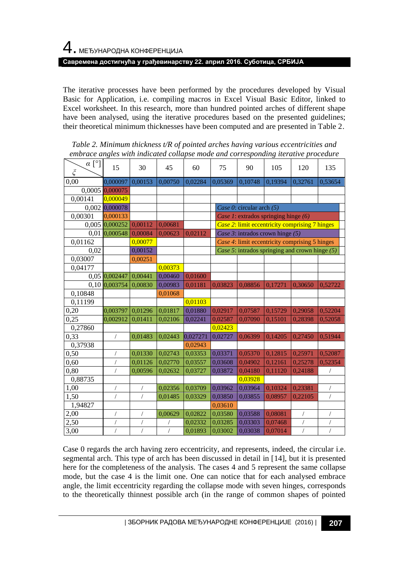The iterative processes have been performed by the procedures developed by Visual Basic for Application, i.e. compiling macros in Excel Visual Basic Editor, linked to Excel worksheet. In this research, more than hundred pointed arches of different shape have been analysed, using the iterative procedures based on the presented guidelines; their theoretical minimum thicknesses have been computed and are presented in Table 2.

| $\alpha$ [°]<br>ξ | 15             | 30         | 45         | 60       | 75                                               | 90      | 105     | 120            | 135        |  |  |  |
|-------------------|----------------|------------|------------|----------|--------------------------------------------------|---------|---------|----------------|------------|--|--|--|
| 0.00              | 0,000097       | 0,00153    | 0.00750    | 0,02284  | 0,05369                                          | 0,10748 | 0.19394 | 0.32761        | 0,53654    |  |  |  |
| 0,0005            | 0.000075       |            |            |          |                                                  |         |         |                |            |  |  |  |
| 0,00141           | 0,000049       |            |            |          |                                                  |         |         |                |            |  |  |  |
| 0,002             | 0,000078       |            |            |          | Case 0: circular arch $(5)$                      |         |         |                |            |  |  |  |
| 0,00301           | 0,000133       |            |            |          | Case 1: extrados springing hinge $(6)$           |         |         |                |            |  |  |  |
|                   | 0,005 0,000252 | 0,00112    | 0,00681    |          | Case 2: limit eccentricity comprising 7 hinges   |         |         |                |            |  |  |  |
| 0.01              | 0,000548       | 0.00084    | 0.00623    | 0,02112  | Case 3: intrados crown hinge $(5)$               |         |         |                |            |  |  |  |
| 0,01162           |                | 0,00077    |            |          | Case 4: limit eccentricity comprising 5 hinges   |         |         |                |            |  |  |  |
| 0,02              |                | 0,00152    |            |          | Case 5: intrados springing and crown hinge $(5)$ |         |         |                |            |  |  |  |
| 0.03007           |                | 0,00251    |            |          |                                                  |         |         |                |            |  |  |  |
| 0,04177           |                |            | 0,00373    |          |                                                  |         |         |                |            |  |  |  |
|                   | 0,05 0,002447  | 0,00441    | 0,00460    | 0,01600  |                                                  |         |         |                |            |  |  |  |
| 0.10              | 0.003754       | 0,00830    | 0.00983    | 0,01181  | 0,03823                                          | 0,08856 | 0,17271 | 0,30650        | 0,52722    |  |  |  |
| 0,10848           |                |            | 0.01068    |          |                                                  |         |         |                |            |  |  |  |
| 0,11199           |                |            |            | 0,01103  |                                                  |         |         |                |            |  |  |  |
| 0,20              | 0,003797       | 0,01296    | 0,01817    | 0,01880  | 0,02917                                          | 0,07587 | 0,15729 | 0,29058        | 0,52204    |  |  |  |
| 0,25              | 0,002912       | 0,01411    | 0.02106    | 0,02241  | 0,02587                                          | 0,07090 | 0,15101 | 0,28398        | 0,52058    |  |  |  |
| 0,27860           |                |            |            |          | 0,02423                                          |         |         |                |            |  |  |  |
| 0,33              | $\sqrt{2}$     | 0,01483    | 0,02443    | 0,027271 | 0,02727                                          | 0,06399 | 0,14205 | 0,27450        | 0,51944    |  |  |  |
| 0,37938           |                |            |            | 0,02943  |                                                  |         |         |                |            |  |  |  |
| 0,50              |                | 0,01330    | 0.02743    | 0,03353  | 0,03371                                          | 0,05370 | 0,12815 | 0,25971        | 0,52087    |  |  |  |
| 0,60              |                | 0,01126    | 0,02770    | 0,03557  | 0,03608                                          | 0,04902 | 0,12161 | 0,25278        | 0,52354    |  |  |  |
| 0,80              | 7              | 0,00596    | 0,02632    | 0,03727  | 0,03872                                          | 0,04180 | 0,11120 | 0,24188        |            |  |  |  |
| 0,88735           |                |            |            |          |                                                  | 0.03928 |         |                |            |  |  |  |
| 1,00              | $\sqrt{2}$     | $\sqrt{2}$ | 0,02356    | 0,03709  | 0,03962                                          | 0,03964 | 0,10324 | 0,23381        | $\sqrt{2}$ |  |  |  |
| 1,50              | $\prime$       |            | 0.01485    | 0,03329  | 0,03850                                          | 0,03855 | 0,08957 | 0,22105        |            |  |  |  |
| 1,94827           |                |            |            |          | 0,03610                                          |         |         |                |            |  |  |  |
| 2,00              | 7              | $\sqrt{2}$ | 0,00629    | 0,02822  | 0,03580                                          | 0,03588 | 0,08081 | $\sqrt{2}$     | $\sqrt{2}$ |  |  |  |
| 2,50              |                |            |            | 0,02332  | 0,03285                                          | 0.03303 | 0,07468 |                |            |  |  |  |
| 3,00              | $\overline{1}$ | $\sqrt{2}$ | $\sqrt{2}$ | 0,01893  | 0,03002                                          | 0.03038 | 0,07014 | $\overline{1}$ | $\sqrt{2}$ |  |  |  |

*Table 2. Minimum thickness t/R of pointed arches having various eccentricities and embrace angles with indicated collapse mode and corresponding iterative procedure*

Case 0 regards the arch having zero eccentricity, and represents, indeed, the circular i.e. segmental arch. This type of arch has been discussed in detail in [14], but it is presented here for the completeness of the analysis. The cases 4 and 5 represent the same collapse mode, but the case 4 is the limit one. One can notice that for each analysed embrace angle, the limit eccentricity regarding the collapse mode with seven hinges, corresponds to the theoretically thinnest possible arch (in the range of common shapes of pointed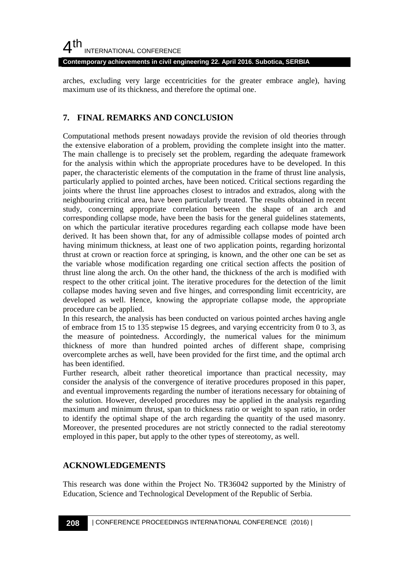**Contemporary achievements in civil engineering 22. April 2016. Subotica, SERBIA**

arches, excluding very large eccentricities for the greater embrace angle), having maximum use of its thickness, and therefore the optimal one.

### **7. FINAL REMARKS AND CONCLUSION**

Computational methods present nowadays provide the revision of old theories through the extensive elaboration of a problem, providing the complete insight into the matter. The main challenge is to precisely set the problem, regarding the adequate framework for the analysis within which the appropriate procedures have to be developed. In this paper, the characteristic elements of the computation in the frame of thrust line analysis, particularly applied to pointed arches, have been noticed. Critical sections regarding the joints where the thrust line approaches closest to intrados and extrados, along with the neighbouring critical area, have been particularly treated. The results obtained in recent study, concerning appropriate correlation between the shape of an arch and corresponding collapse mode, have been the basis for the general guidelines statements, on which the particular iterative procedures regarding each collapse mode have been derived. It has been shown that, for any of admissible collapse modes of pointed arch having minimum thickness, at least one of two application points, regarding horizontal thrust at crown or reaction force at springing, is known, and the other one can be set as the variable whose modification regarding one critical section affects the position of thrust line along the arch. On the other hand, the thickness of the arch is modified with respect to the other critical joint. The iterative procedures for the detection of the limit collapse modes having seven and five hinges, and corresponding limit eccentricity, are developed as well. Hence, knowing the appropriate collapse mode, the appropriate procedure can be applied.

In this research, the analysis has been conducted on various pointed arches having angle of embrace from 15 to 135 stepwise 15 degrees, and varying eccentricity from 0 to 3, as the measure of pointedness. Accordingly, the numerical values for the minimum thickness of more than hundred pointed arches of different shape, comprising overcomplete arches as well, have been provided for the first time, and the optimal arch has been identified.

Further research, albeit rather theoretical importance than practical necessity, may consider the analysis of the convergence of iterative procedures proposed in this paper, and eventual improvements regarding the number of iterations necessary for obtaining of the solution. However, developed procedures may be applied in the analysis regarding maximum and minimum thrust, span to thickness ratio or weight to span ratio, in order to identify the optimal shape of the arch regarding the quantity of the used masonry. Moreover, the presented procedures are not strictly connected to the radial stereotomy employed in this paper, but apply to the other types of stereotomy, as well.

### **ACKNOWLEDGEMENTS**

This research was done within the Project No. TR36042 supported by the Ministry of Education, Science and Technological Development of the Republic of Serbia.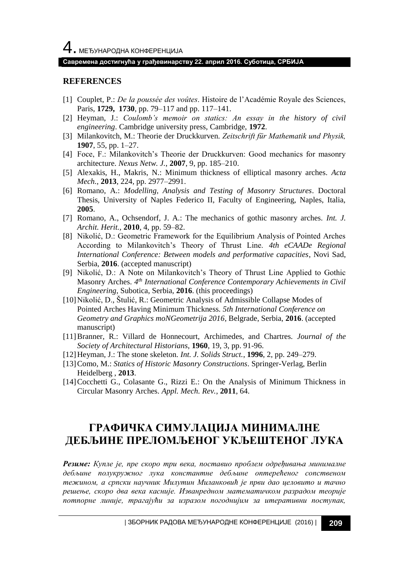#### **Савремена достигнућа у грађевинарству 22. април 2016. Суботица, СРБИЈА**

#### **REFERENCES**

- [1] Couplet, P.: *De la poussée des voûtes*. Histoire de l'Académie Royale des Sciences, Paris, **1729, 1730**, pp. 79–117 and pp. 117–141.
- [2] Heyman, J.: *Coulomb's memoir on statics: An essay in the history of civil engineering*. Cambridge university press, Cambridge, **1972**.
- [3] Milankovitch, M.: Theorie der Druckkurven. *Zeitschrift für Mathematik und Physik,* **1907**, 55, pp. 1–27.
- [4] Foce, F.: Milankovitch's Theorie der Druckkurven: Good mechanics for masonry architecture. *Nexus Netw. J.*, **2007**, 9, pp. 185–210.
- [5] Alexakis, H., Makris, N.: Minimum thickness of elliptical masonry arches. *Acta Mech.,* **2013**, 224, pp. 2977–2991.
- [6] Romano, A.: *Modelling, Analysis and Testing of Masonry Structures*. Doctoral Thesis, University of Naples Federico II, Faculty of Engineering, Naples, Italia, **2005**.
- [7] Romano, A., Ochsendorf, J. A.: The mechanics of gothic masonry arches. *Int. J. Archit. Herit.,* **2010**, 4, pp. 59–82.
- [8] Nikolić, D.: Geometric Framework for the Equilibrium Analysis of Pointed Arches According to Milankovitch's Theory of Thrust Line. *4th eCAADe Regional International Conference: Between models and performative capacities*, Novi Sad, Serbia, **2016**. (accepted manuscript)
- [9] Nikolić, D.: A Note on Milankovitch's Theory of Thrust Line Applied to Gothic Masonry Arches. 4<sup>th</sup> International Conference Contemporary Achievements in Civil *Engineering*, Subotica, Serbia, **2016**. (this proceedings)
- [10]Nikolić, D., Štulić, R.: Geometric Analysis of Admissible Collapse Modes of Pointed Arches Having Minimum Thickness. *5th International Conference on Geometry and Graphics moNGeometrija 2016*, Belgrade, Serbia, **2016**. (accepted manuscript)
- [11]Branner, R.: Villard de Honnecourt, Archimedes, and Chartres. *Journal of the Society of Architectural Historians*, **1960**, 19, 3, pp. 91-96.
- [12]Heyman, J.: The stone skeleton*. Int. J. Solids Struct.*, **1996**, 2, pp. 249–279.
- [13]Como, M.: *Statics of Historic Masonry Constructions*. Springer-Verlag, Berlin Heidelberg , **2013**.
- [14]Cocchetti G., Colasante G., Rizzi E.: On the Analysis of Minimum Thickness in Circular Masonry Arches. *Appl. Mech. Rev.*, **2011**, 64.

# **ГРАФИЧКА СИМУЛАЦИЈА МИНИМАЛНЕ ДЕБЉИНЕ ПРЕЛОМЉЕНОГ УКЉЕШТЕНОГ ЛУКА**

*Резиме: Купле је, пре скоро три века, поставио проблем одређивања минималне дебљине полукружног лука константне дебљине оптерећеног сопственом тежином, а српски научник Милутин Миланковић је први дао целовито и тачно решење, скоро два века касније. Изванредном математичком разрадом теорије потпорне линије, трагајући за изразом погоднијим за итеративни поступак,*